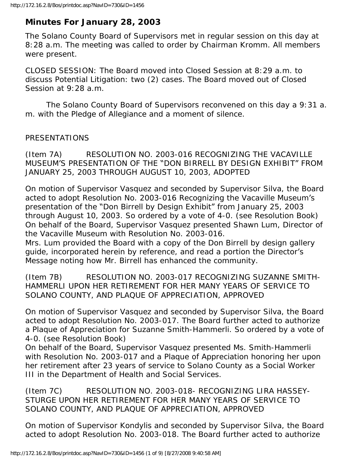# **Minutes For January 28, 2003**

The Solano County Board of Supervisors met in regular session on this day at 8:28 a.m. The meeting was called to order by Chairman Kromm. All members were present.

CLOSED SESSION: The Board moved into Closed Session at 8:29 a.m. to discuss Potential Litigation: two (2) cases. The Board moved out of Closed Session at 9:28 a.m.

 The Solano County Board of Supervisors reconvened on this day a 9:31 a. m. with the Pledge of Allegiance and a moment of silence.

#### PRESENTATIONS

(Item 7A) RESOLUTION NO. 2003-016 RECOGNIZING THE VACAVILLE MUSEUM'S PRESENTATION OF THE "DON BIRRELL BY DESIGN EXHIBIT" FROM JANUARY 25, 2003 THROUGH AUGUST 10, 2003, ADOPTED

On motion of Supervisor Vasquez and seconded by Supervisor Silva, the Board acted to adopt Resolution No. 2003-016 Recognizing the Vacaville Museum's presentation of the "Don Birrell by Design Exhibit" from January 25, 2003 through August 10, 2003. So ordered by a vote of 4-0. (see Resolution Book) On behalf of the Board, Supervisor Vasquez presented Shawn Lum, Director of the Vacaville Museum with Resolution No. 2003-016.

Mrs. Lum provided the Board with a copy of the Don Birrell by design gallery guide, incorporated herein by reference, and read a portion the Director's Message noting how Mr. Birrell has enhanced the community.

(Item 7B) RESOLUTION NO. 2003-017 RECOGNIZING SUZANNE SMITH-HAMMERLI UPON HER RETIREMENT FOR HER MANY YEARS OF SERVICE TO SOLANO COUNTY, AND PLAQUE OF APPRECIATION, APPROVED

On motion of Supervisor Vasquez and seconded by Supervisor Silva, the Board acted to adopt Resolution No. 2003-017. The Board further acted to authorize a Plaque of Appreciation for Suzanne Smith-Hammerli. So ordered by a vote of 4-0. (see Resolution Book)

On behalf of the Board, Supervisor Vasquez presented Ms. Smith-Hammerli with Resolution No. 2003-017 and a Plaque of Appreciation honoring her upon her retirement after 23 years of service to Solano County as a Social Worker III in the Department of Health and Social Services.

(Item 7C) RESOLUTION NO. 2003-018- RECOGNIZING LIRA HASSEY-STURGE UPON HER RETIREMENT FOR HER MANY YEARS OF SERVICE TO SOLANO COUNTY, AND PLAQUE OF APPRECIATION, APPROVED

On motion of Supervisor Kondylis and seconded by Supervisor Silva, the Board acted to adopt Resolution No. 2003-018. The Board further acted to authorize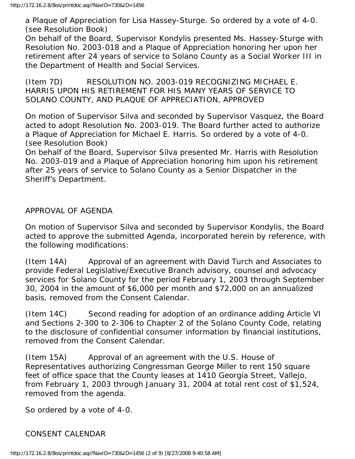a Plaque of Appreciation for Lisa Hassey-Sturge. So ordered by a vote of 4-0. (see Resolution Book)

On behalf of the Board, Supervisor Kondylis presented Ms. Hassey-Sturge with Resolution No. 2003-018 and a Plaque of Appreciation honoring her upon her retirement after 24 years of service to Solano County as a Social Worker III in the Department of Health and Social Services.

(Item 7D) RESOLUTION NO. 2003-019 RECOGNIZING MICHAEL E. HARRIS UPON HIS RETIREMENT FOR HIS MANY YEARS OF SERVICE TO SOLANO COUNTY, AND PLAQUE OF APPRECIATION, APPROVED

On motion of Supervisor Silva and seconded by Supervisor Vasquez, the Board acted to adopt Resolution No. 2003-019. The Board further acted to authorize a Plaque of Appreciation for Michael E. Harris. So ordered by a vote of 4-0. (see Resolution Book)

On behalf of the Board, Supervisor Silva presented Mr. Harris with Resolution No. 2003-019 and a Plaque of Appreciation honoring him upon his retirement after 25 years of service to Solano County as a Senior Dispatcher in the Sheriff's Department.

APPROVAL OF AGENDA

On motion of Supervisor Silva and seconded by Supervisor Kondylis, the Board acted to approve the submitted Agenda, incorporated herein by reference, with the following modifications:

(Item 14A) Approval of an agreement with David Turch and Associates to provide Federal Legislative/Executive Branch advisory, counsel and advocacy services for Solano County for the period February 1, 2003 through September 30, 2004 in the amount of \$6,000 per month and \$72,000 on an annualized basis, removed from the Consent Calendar.

(Item 14C) Second reading for adoption of an ordinance adding Article VI and Sections 2-300 to 2-306 to Chapter 2 of the Solano County Code, relating to the disclosure of confidential consumer information by financial institutions, removed from the Consent Calendar.

(Item 15A) Approval of an agreement with the U.S. House of Representatives authorizing Congressman George Miller to rent 150 square feet of office space that the County leases at 1410 Georgia Street, Vallejo, from February 1, 2003 through January 31, 2004 at total rent cost of \$1,524, removed from the agenda.

So ordered by a vote of 4-0.

### CONSENT CALENDAR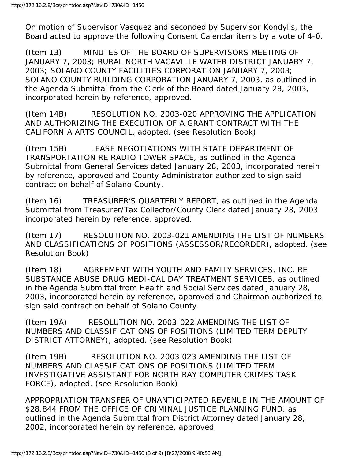On motion of Supervisor Vasquez and seconded by Supervisor Kondylis, the Board acted to approve the following Consent Calendar items by a vote of 4-0.

(Item 13) MINUTES OF THE BOARD OF SUPERVISORS MEETING OF JANUARY 7, 2003; RURAL NORTH VACAVILLE WATER DISTRICT JANUARY 7, 2003; SOLANO COUNTY FACILITIES CORPORATION JANUARY 7, 2003; SOLANO COUNTY BUILDING CORPORATION JANUARY 7, 2003, as outlined in the Agenda Submittal from the Clerk of the Board dated January 28, 2003, incorporated herein by reference, approved.

(Item 14B) RESOLUTION NO. 2003-020 APPROVING THE APPLICATION AND AUTHORIZING THE EXECUTION OF A GRANT CONTRACT WITH THE CALIFORNIA ARTS COUNCIL, adopted. (see Resolution Book)

(Item 15B) LEASE NEGOTIATIONS WITH STATE DEPARTMENT OF TRANSPORTATION RE RADIO TOWER SPACE, as outlined in the Agenda Submittal from General Services dated January 28, 2003, incorporated herein by reference, approved and County Administrator authorized to sign said contract on behalf of Solano County.

(Item 16) TREASURER'S QUARTERLY REPORT, as outlined in the Agenda Submittal from Treasurer/Tax Collector/County Clerk dated January 28, 2003 incorporated herein by reference, approved.

(Item 17) RESOLUTION NO. 2003-021 AMENDING THE LIST OF NUMBERS AND CLASSIFICATIONS OF POSITIONS (ASSESSOR/RECORDER), adopted. (see Resolution Book)

(Item 18) AGREEMENT WITH YOUTH AND FAMILY SERVICES, INC. RE SUBSTANCE ABUSE DRUG MEDI-CAL DAY TREATMENT SERVICES, as outlined in the Agenda Submittal from Health and Social Services dated January 28, 2003, incorporated herein by reference, approved and Chairman authorized to sign said contract on behalf of Solano County.

(Item 19A) RESOLUTION NO. 2003-022 AMENDING THE LIST OF NUMBERS AND CLASSIFICATIONS OF POSITIONS (LIMITED TERM DEPUTY DISTRICT ATTORNEY), adopted. (see Resolution Book)

(Item 19B) RESOLUTION NO. 2003 023 AMENDING THE LIST OF NUMBERS AND CLASSIFICATIONS OF POSITIONS (LIMITED TERM INVESTIGATIVE ASSISTANT FOR NORTH BAY COMPUTER CRIMES TASK FORCE), adopted. (see Resolution Book)

APPROPRIATION TRANSFER OF UNANTICIPATED REVENUE IN THE AMOUNT OF \$28,844 FROM THE OFFICE OF CRIMINAL JUSTICE PLANNING FUND, as outlined in the Agenda Submittal from District Attorney dated January 28, 2002, incorporated herein by reference, approved.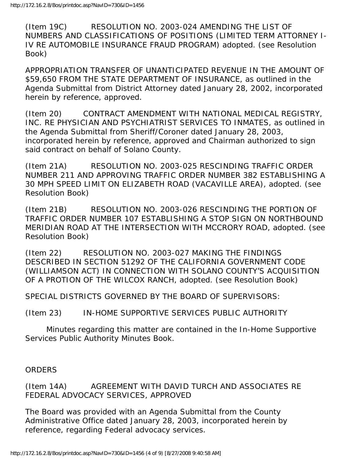(Item 19C) RESOLUTION NO. 2003-024 AMENDING THE LIST OF NUMBERS AND CLASSIFICATIONS OF POSITIONS (LIMITED TERM ATTORNEY I-IV RE AUTOMOBILE INSURANCE FRAUD PROGRAM) adopted. (see Resolution Book)

APPROPRIATION TRANSFER OF UNANTICIPATED REVENUE IN THE AMOUNT OF \$59,650 FROM THE STATE DEPARTMENT OF INSURANCE, as outlined in the Agenda Submittal from District Attorney dated January 28, 2002, incorporated herein by reference, approved.

(Item 20) CONTRACT AMENDMENT WITH NATIONAL MEDICAL REGISTRY, INC. RE PHYSICIAN AND PSYCHIATRIST SERVICES TO INMATES, as outlined in the Agenda Submittal from Sheriff/Coroner dated January 28, 2003, incorporated herein by reference, approved and Chairman authorized to sign said contract on behalf of Solano County.

(Item 21A) RESOLUTION NO. 2003-025 RESCINDING TRAFFIC ORDER NUMBER 211 AND APPROVING TRAFFIC ORDER NUMBER 382 ESTABLISHING A 30 MPH SPEED LIMIT ON ELIZABETH ROAD (VACAVILLE AREA), adopted. (see Resolution Book)

(Item 21B) RESOLUTION NO. 2003-026 RESCINDING THE PORTION OF TRAFFIC ORDER NUMBER 107 ESTABLISHING A STOP SIGN ON NORTHBOUND MERIDIAN ROAD AT THE INTERSECTION WITH MCCRORY ROAD, adopted. (see Resolution Book)

(Item 22) RESOLUTION NO. 2003-027 MAKING THE FINDINGS DESCRIBED IN SECTION 51292 OF THE CALIFORNIA GOVERNMENT CODE (WILLIAMSON ACT) IN CONNECTION WITH SOLANO COUNTY'S ACQUISITION OF A PROTION OF THE WILCOX RANCH, adopted. (see Resolution Book)

SPECIAL DISTRICTS GOVERNED BY THE BOARD OF SUPERVISORS:

(Item 23) IN-HOME SUPPORTIVE SERVICES PUBLIC AUTHORITY

 Minutes regarding this matter are contained in the In-Home Supportive Services Public Authority Minutes Book.

**ORDERS** 

(Item 14A) AGREEMENT WITH DAVID TURCH AND ASSOCIATES RE FEDERAL ADVOCACY SERVICES, APPROVED

The Board was provided with an Agenda Submittal from the County Administrative Office dated January 28, 2003, incorporated herein by reference, regarding Federal advocacy services.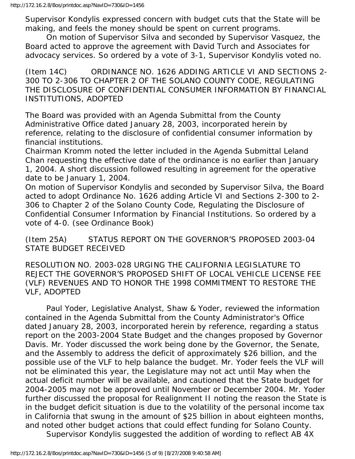Supervisor Kondylis expressed concern with budget cuts that the State will be making, and feels the money should be spent on current programs.

 On motion of Supervisor Silva and seconded by Supervisor Vasquez, the Board acted to approve the agreement with David Turch and Associates for advocacy services. So ordered by a vote of 3-1, Supervisor Kondylis voted no.

(Item 14C) ORDINANCE NO. 1626 ADDING ARTICLE VI AND SECTIONS 2- 300 TO 2-306 TO CHAPTER 2 OF THE SOLANO COUNTY CODE, REGULATING THE DISCLOSURE OF CONFIDENTIAL CONSUMER INFORMATION BY FINANCIAL INSTITUTIONS, ADOPTED

The Board was provided with an Agenda Submittal from the County Administrative Office dated January 28, 2003, incorporated herein by reference, relating to the disclosure of confidential consumer information by financial institutions.

Chairman Kromm noted the letter included in the Agenda Submittal Leland Chan requesting the effective date of the ordinance is no earlier than January 1, 2004. A short discussion followed resulting in agreement for the operative date to be January 1, 2004.

On motion of Supervisor Kondylis and seconded by Supervisor Silva, the Board acted to adopt Ordinance No. 1626 adding Article VI and Sections 2-300 to 2- 306 to Chapter 2 of the Solano County Code, Regulating the Disclosure of Confidential Consumer Information by Financial Institutions. So ordered by a vote of 4-0. (see Ordinance Book)

(Item 25A) STATUS REPORT ON THE GOVERNOR'S PROPOSED 2003-04 STATE BUDGET RECEIVED

RESOLUTION NO. 2003-028 URGING THE CALIFORNIA LEGISLATURE TO REJECT THE GOVERNOR'S PROPOSED SHIFT OF LOCAL VEHICLE LICENSE FEE (VLF) REVENUES AND TO HONOR THE 1998 COMMITMENT TO RESTORE THE VLF, ADOPTED

 Paul Yoder, Legislative Analyst, Shaw & Yoder, reviewed the information contained in the Agenda Submittal from the County Administrator's Office dated January 28, 2003, incorporated herein by reference, regarding a status report on the 2003-2004 State Budget and the changes proposed by Governor Davis. Mr. Yoder discussed the work being done by the Governor, the Senate, and the Assembly to address the deficit of approximately \$26 billion, and the possible use of the VLF to help balance the budget. Mr. Yoder feels the VLF will not be eliminated this year, the Legislature may not act until May when the actual deficit number will be available, and cautioned that the State budget for 2004-2005 may not be approved until November or December 2004. Mr. Yoder further discussed the proposal for Realignment II noting the reason the State is in the budget deficit situation is due to the volatility of the personal income tax in California that swung in the amount of \$25 billion in about eighteen months, and noted other budget actions that could effect funding for Solano County.

Supervisor Kondylis suggested the addition of wording to reflect AB 4X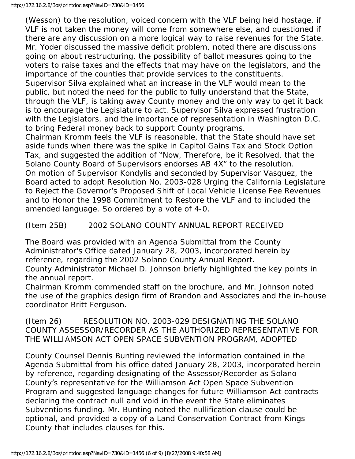(Wesson) to the resolution, voiced concern with the VLF being held hostage, if VLF is not taken the money will come from somewhere else, and questioned if there are any discussion on a more logical way to raise revenues for the State. Mr. Yoder discussed the massive deficit problem, noted there are discussions going on about restructuring, the possibility of ballot measures going to the voters to raise taxes and the effects that may have on the legislators, and the importance of the counties that provide services to the constituents. Supervisor Silva explained what an increase in the VLF would mean to the public, but noted the need for the public to fully understand that the State, through the VLF, is taking away County money and the only way to get it back is to encourage the Legislature to act. Supervisor Silva expressed frustration with the Legislators, and the importance of representation in Washington D.C. to bring Federal money back to support County programs.

Chairman Kromm feels the VLF is reasonable, that the State should have set aside funds when there was the spike in Capitol Gains Tax and Stock Option Tax, and suggested the addition of "Now, Therefore, be it Resolved, that the Solano County Board of Supervisors endorses AB 4X" to the resolution. On motion of Supervisor Kondylis and seconded by Supervisor Vasquez, the Board acted to adopt Resolution No. 2003-028 Urging the California Legislature to Reject the Governor's Proposed Shift of Local Vehicle License Fee Revenues and to Honor the 1998 Commitment to Restore the VLF and to included the amended language. So ordered by a vote of 4-0.

## (Item 25B) 2002 SOLANO COUNTY ANNUAL REPORT RECEIVED

The Board was provided with an Agenda Submittal from the County Administrator's Office dated January 28, 2003, incorporated herein by reference, regarding the 2002 Solano County Annual Report.

County Administrator Michael D. Johnson briefly highlighted the key points in the annual report.

Chairman Kromm commended staff on the brochure, and Mr. Johnson noted the use of the graphics design firm of Brandon and Associates and the in-house coordinator Britt Ferguson.

(Item 26) RESOLUTION NO. 2003-029 DESIGNATING THE SOLANO COUNTY ASSESSOR/RECORDER AS THE AUTHORIZED REPRESENTATIVE FOR THE WILLIAMSON ACT OPEN SPACE SUBVENTION PROGRAM, ADOPTED

County Counsel Dennis Bunting reviewed the information contained in the Agenda Submittal from his office dated January 28, 2003, incorporated herein by reference, regarding designating of the Assessor/Recorder as Solano County's representative for the Williamson Act Open Space Subvention Program and suggested language changes for future Williamson Act contracts declaring the contract null and void in the event the State eliminates Subventions funding. Mr. Bunting noted the nullification clause could be optional, and provided a copy of a Land Conservation Contract from Kings County that includes clauses for this.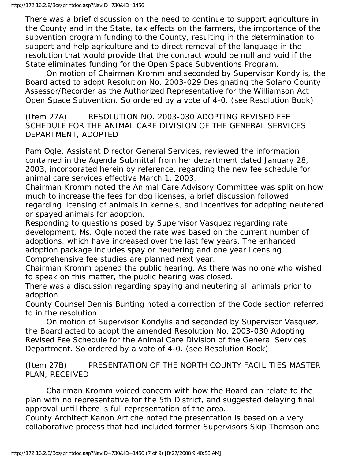There was a brief discussion on the need to continue to support agriculture in the County and in the State, tax effects on the farmers, the importance of the subvention program funding to the County, resulting in the determination to support and help agriculture and to direct removal of the language in the resolution that would provide that the contract would be null and void if the State eliminates funding for the Open Space Subventions Program.

 On motion of Chairman Kromm and seconded by Supervisor Kondylis, the Board acted to adopt Resolution No. 2003-029 Designating the Solano County Assessor/Recorder as the Authorized Representative for the Williamson Act Open Space Subvention. So ordered by a vote of 4-0. (see Resolution Book)

(Item 27A) RESOLUTION NO. 2003-030 ADOPTING REVISED FEE SCHEDULE FOR THE ANIMAL CARE DIVISION OF THE GENERAL SERVICES DEPARTMENT, ADOPTED

Pam Ogle, Assistant Director General Services, reviewed the information contained in the Agenda Submittal from her department dated January 28, 2003, incorporated herein by reference, regarding the new fee schedule for animal care services effective March 1, 2003.

Chairman Kromm noted the Animal Care Advisory Committee was split on how much to increase the fees for dog licenses, a brief discussion followed regarding licensing of animals in kennels, and incentives for adopting neutered or spayed animals for adoption.

Responding to questions posed by Supervisor Vasquez regarding rate development, Ms. Ogle noted the rate was based on the current number of adoptions, which have increased over the last few years. The enhanced adoption package includes spay or neutering and one year licensing. Comprehensive fee studies are planned next year.

Chairman Kromm opened the public hearing. As there was no one who wished to speak on this matter, the public hearing was closed.

There was a discussion regarding spaying and neutering all animals prior to adoption.

County Counsel Dennis Bunting noted a correction of the Code section referred to in the resolution.

 On motion of Supervisor Kondylis and seconded by Supervisor Vasquez, the Board acted to adopt the amended Resolution No. 2003-030 Adopting Revised Fee Schedule for the Animal Care Division of the General Services Department. So ordered by a vote of 4-0. (see Resolution Book)

(Item 27B) PRESENTATION OF THE NORTH COUNTY FACILITIES MASTER PLAN, RECEIVED

 Chairman Kromm voiced concern with how the Board can relate to the plan with no representative for the 5th District, and suggested delaying final approval until there is full representation of the area.

County Architect Kanon Artiche noted the presentation is based on a very collaborative process that had included former Supervisors Skip Thomson and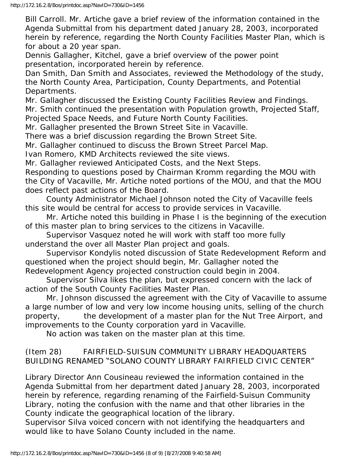Bill Carroll. Mr. Artiche gave a brief review of the information contained in the Agenda Submittal from his department dated January 28, 2003, incorporated herein by reference, regarding the North County Facilities Master Plan, which is for about a 20 year span.

Dennis Gallagher, Kitchel, gave a brief overview of the power point presentation, incorporated herein by reference.

Dan Smith, Dan Smith and Associates, reviewed the Methodology of the study, the North County Area, Participation, County Departments, and Potential Departments.

Mr. Gallagher discussed the Existing County Facilities Review and Findings. Mr. Smith continued the presentation with Population growth, Projected Staff, Projected Space Needs, and Future North County Facilities.

Mr. Gallagher presented the Brown Street Site in Vacaville.

There was a brief discussion regarding the Brown Street Site.

Mr. Gallagher continued to discuss the Brown Street Parcel Map.

Ivan Romero, KMD Architects reviewed the site views.

Mr. Gallagher reviewed Anticipated Costs, and the Next Steps.

Responding to questions posed by Chairman Kromm regarding the MOU with the City of Vacaville, Mr. Artiche noted portions of the MOU, and that the MOU does reflect past actions of the Board.

 County Administrator Michael Johnson noted the City of Vacaville feels this site would be central for access to provide services in Vacaville.

 Mr. Artiche noted this building in Phase I is the beginning of the execution of this master plan to bring services to the citizens in Vacaville.

 Supervisor Vasquez noted he will work with staff too more fully understand the over all Master Plan project and goals.

 Supervisor Kondylis noted discussion of State Redevelopment Reform and questioned when the project should begin, Mr. Gallagher noted the Redevelopment Agency projected construction could begin in 2004.

 Supervisor Silva likes the plan, but expressed concern with the lack of action of the South County Facilities Master Plan.

 Mr. Johnson discussed the agreement with the City of Vacaville to assume a large number of low and very low income housing units, selling of the church property, the development of a master plan for the Nut Tree Airport, and improvements to the County corporation yard in Vacaville.

No action was taken on the master plan at this time.

### (Item 28) FAIRFIELD-SUISUN COMMUNITY LIBRARY HEADQUARTERS BUILDING RENAMED "SOLANO COUNTY LIBRARY FAIRFIELD CIVIC CENTER"

Library Director Ann Cousineau reviewed the information contained in the Agenda Submittal from her department dated January 28, 2003, incorporated herein by reference, regarding renaming of the Fairfield-Suisun Community Library, noting the confusion with the name and that other libraries in the County indicate the geographical location of the library.

Supervisor Silva voiced concern with not identifying the headquarters and would like to have Solano County included in the name.